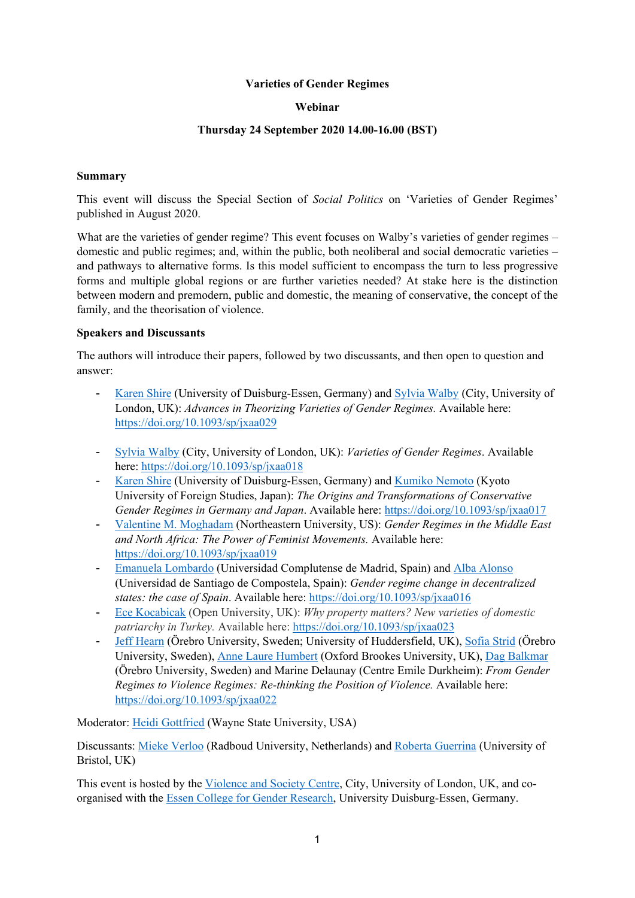#### **Varieties of Gender Regimes**

#### **Webinar**

## **Thursday 24 September 2020 14.00-16.00 (BST)**

#### **Summary**

This event will discuss the Special Section of *Social Politics* on 'Varieties of Gender Regimes' published in August 2020.

What are the varieties of gender regime? This event focuses on Walby's varieties of gender regimes – domestic and public regimes; and, within the public, both neoliberal and social democratic varieties – and pathways to alternative forms. Is this model sufficient to encompass the turn to less progressive forms and multiple global regions or are further varieties needed? At stake here is the distinction between modern and premodern, public and domestic, the meaning of conservative, the concept of the family, and the theorisation of violence.

## **Speakers and Discussants**

The authors will introduce their papers, followed by two discussants, and then open to question and answer:

- Karen Shire (University of Duisburg-Essen, Germany) and Sylvia Walby (City, University of London, UK): *Advances in Theorizing Varieties of Gender Regimes.* Available here: https://doi.org/10.1093/sp/jxaa029
- Sylvia Walby (City, University of London, UK): *Varieties of Gender Regimes*. Available here: https://doi.org/10.1093/sp/jxaa018
- Karen Shire (University of Duisburg-Essen, Germany) and Kumiko Nemoto (Kyoto University of Foreign Studies, Japan): *The Origins and Transformations of Conservative Gender Regimes in Germany and Japan*. Available here: https://doi.org/10.1093/sp/jxaa017
- Valentine M. Moghadam (Northeastern University, US): *Gender Regimes in the Middle East and North Africa: The Power of Feminist Movements.* Available here: https://doi.org/10.1093/sp/jxaa019
- Emanuela Lombardo (Universidad Complutense de Madrid, Spain) and Alba Alonso (Universidad de Santiago de Compostela, Spain): *Gender regime change in decentralized states: the case of Spain*. Available here: https://doi.org/10.1093/sp/jxaa016
- Ece Kocabicak (Open University, UK): *Why property matters? New varieties of domestic patriarchy in Turkey.* Available here: https://doi.org/10.1093/sp/jxaa023
- Jeff Hearn (Örebro University, Sweden; University of Huddersfield, UK), Sofia Strid (Örebro University, Sweden), Anne Laure Humbert (Oxford Brookes University, UK), Dag Balkmar (Örebro University, Sweden) and Marine Delaunay (Centre Emile Durkheim): *From Gender Regimes to Violence Regimes: Re-thinking the Position of Violence.* Available here: https://doi.org/10.1093/sp/jxaa022

Moderator: Heidi Gottfried (Wayne State University, USA)

Discussants: Mieke Verloo (Radboud University, Netherlands) and Roberta Guerrina (University of Bristol, UK)

This event is hosted by the Violence and Society Centre, City, University of London, UK, and coorganised with the Essen College for Gender Research, University Duisburg-Essen, Germany.